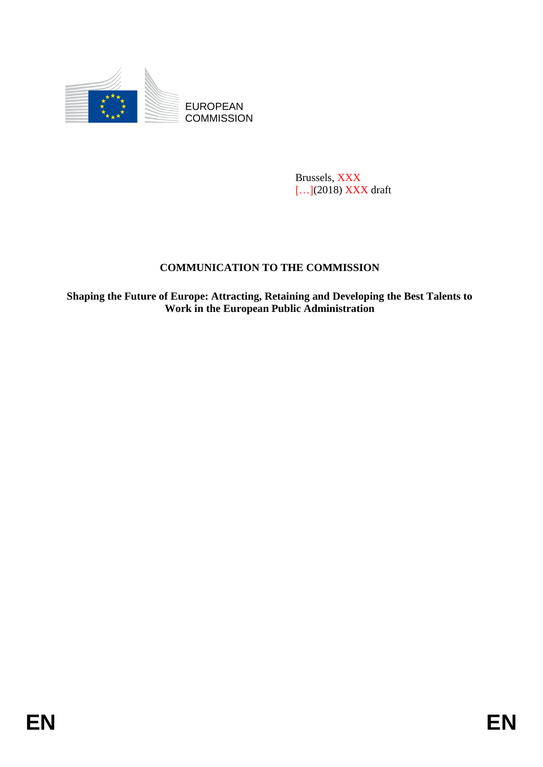

**COMMISSION** 

Brussels, XXX […](2018) XXX draft

## **COMMUNICATION TO THE COMMISSION**

EUROPEAN<br>
EUROPEAN<br>
ENERGY COMMUNICATION TO THE COMMISSION<br>
ENERGY (EXEMPLE)<br>
COMMUNICATION TO THE COMMISSION<br>
Shaping the Fature of European (Authority Retaining and Developing the Best Talents to<br>
Work in the European Pu **Shaping the Future of Europe: Attracting, Retaining and Developing the Best Talents to Work in the European Public Administration**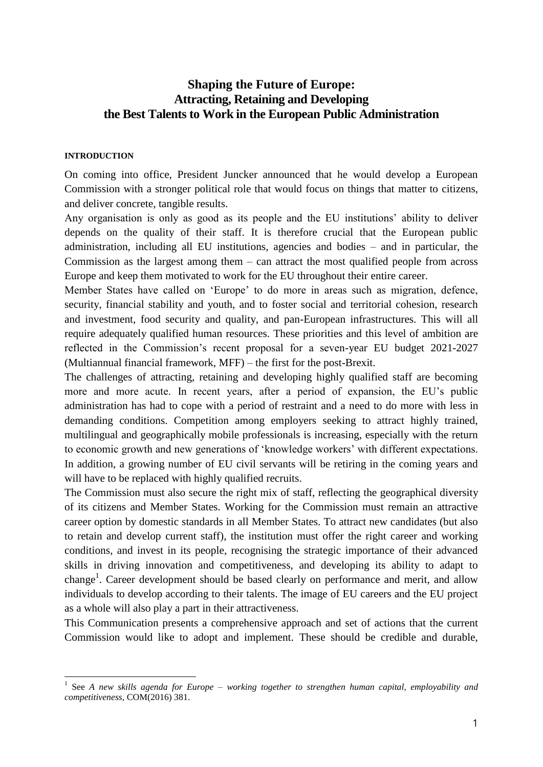## **Shaping the Future of Europe: Attracting, Retaining and Developing the Best Talents to Work in the European Public Administration**

#### **INTRODUCTION**

On coming into office, President Juncker announced that he would develop a European Commission with a stronger political role that would focus on things that matter to citizens, and deliver concrete, tangible results.

Any organisation is only as good as its people and the EU institutions' ability to deliver depends on the quality of their staff. It is therefore crucial that the European public administration, including all EU institutions, agencies and bodies – and in particular, the Commission as the largest among them – can attract the most qualified people from across Europe and keep them motivated to work for the EU throughout their entire career.

Member States have called on 'Europe' to do more in areas such as migration, defence, security, financial stability and youth, and to foster social and territorial cohesion, research and investment, food security and quality, and pan-European infrastructures. This will all require adequately qualified human resources. These priorities and this level of ambition are reflected in the Commission's recent proposal for a seven-year EU budget 2021-2027 (Multiannual financial framework, MFF) – the first for the post-Brexit.

The challenges of attracting, retaining and developing highly qualified staff are becoming more and more acute. In recent years, after a period of expansion, the EU's public administration has had to cope with a period of restraint and a need to do more with less in demanding conditions. Competition among employers seeking to attract highly trained, multilingual and geographically mobile professionals is increasing, especially with the return to economic growth and new generations of 'knowledge workers' with different expectations. In addition, a growing number of EU civil servants will be retiring in the coming years and will have to be replaced with highly qualified recruits.

The Commission must also secure the right mix of staff, reflecting the geographical diversity of its citizens and Member States. Working for the Commission must remain an attractive career option by domestic standards in all Member States. To attract new candidates (but also to retain and develop current staff), the institution must offer the right career and working conditions, and invest in its people, recognising the strategic importance of their advanced skills in driving innovation and competitiveness, and developing its ability to adapt to change<sup>1</sup>. Career development should be based clearly on performance and merit, and allow individuals to develop according to their talents. The image of EU careers and the EU project as a whole will also play a part in their attractiveness.

This Communication presents a comprehensive approach and set of actions that the current Commission would like to adopt and implement. These should be credible and durable,

**<sup>.</sup>** 1 See *A new skills agenda for Europe* – *working together to strengthen human capital, employability and competitiveness*, COM(2016) 381.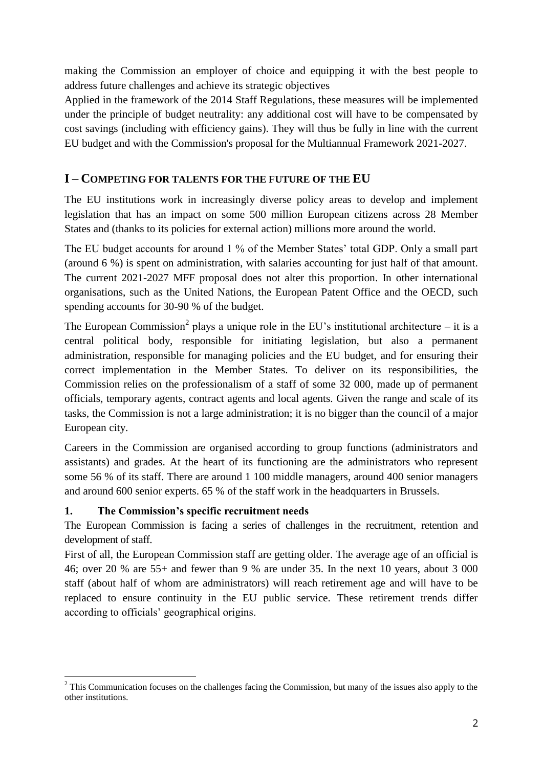making the Commission an employer of choice and equipping it with the best people to address future challenges and achieve its strategic objectives

Applied in the framework of the 2014 Staff Regulations, these measures will be implemented under the principle of budget neutrality: any additional cost will have to be compensated by cost savings (including with efficiency gains). They will thus be fully in line with the current EU budget and with the Commission's proposal for the Multiannual Framework 2021-2027.

## **I – COMPETING FOR TALENTS FOR THE FUTURE OF THE EU**

The EU institutions work in increasingly diverse policy areas to develop and implement legislation that has an impact on some 500 million European citizens across 28 Member States and (thanks to its policies for external action) millions more around the world.

The EU budget accounts for around 1 % of the Member States' total GDP. Only a small part (around 6 %) is spent on administration, with salaries accounting for just half of that amount. The current 2021-2027 MFF proposal does not alter this proportion. In other international organisations, such as the United Nations, the European Patent Office and the OECD, such spending accounts for 30-90 % of the budget.

The European Commission<sup>2</sup> plays a unique role in the EU's institutional architecture – it is a central political body, responsible for initiating legislation, but also a permanent administration, responsible for managing policies and the EU budget, and for ensuring their correct implementation in the Member States. To deliver on its responsibilities, the Commission relies on the professionalism of a staff of some 32 000, made up of permanent officials, temporary agents, contract agents and local agents. Given the range and scale of its tasks, the Commission is not a large administration; it is no bigger than the council of a major European city.

Careers in the Commission are organised according to group functions (administrators and assistants) and grades. At the heart of its functioning are the administrators who represent some 56 % of its staff. There are around 1 100 middle managers, around 400 senior managers and around 600 senior experts. 65 % of the staff work in the headquarters in Brussels.

### **1. The Commission's specific recruitment needs**

The European Commission is facing a series of challenges in the recruitment, retention and development of staff.

First of all, the European Commission staff are getting older. The average age of an official is 46; over 20 % are 55+ and fewer than 9 % are under 35. In the next 10 years, about 3 000 staff (about half of whom are administrators) will reach retirement age and will have to be replaced to ensure continuity in the EU public service. These retirement trends differ according to officials' geographical origins.

**<sup>.</sup>**  $2^2$  This Communication focuses on the challenges facing the Commission, but many of the issues also apply to the other institutions.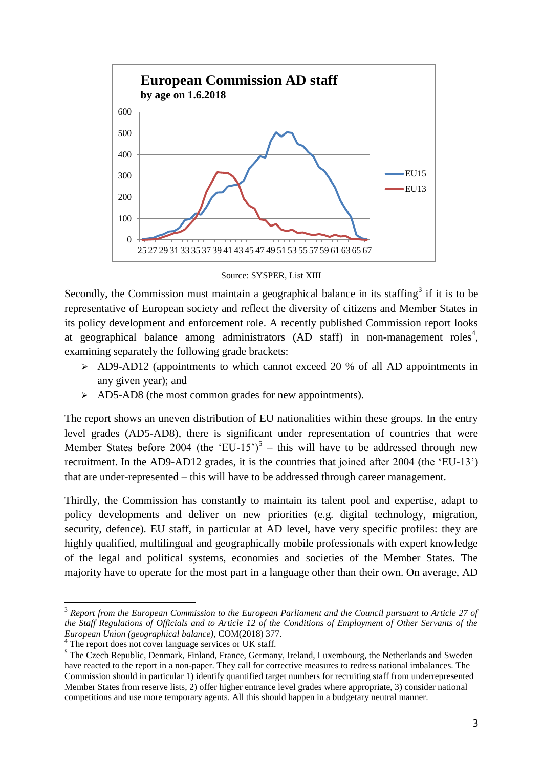

Source: SYSPER, List XIII

Secondly, the Commission must maintain a geographical balance in its staffing<sup>3</sup> if it is to be representative of European society and reflect the diversity of citizens and Member States in its policy development and enforcement role. A recently published Commission report looks at geographical balance among administrators (AD staff) in non-management roles<sup>4</sup>, examining separately the following grade brackets:

- AD9-AD12 (appointments to which cannot exceed 20 % of all AD appointments in any given year); and
- $\geq$  AD5-AD8 (the most common grades for new appointments).

The report shows an uneven distribution of EU nationalities within these groups. In the entry level grades (AD5-AD8), there is significant under representation of countries that were Member States before 2004 (the 'EU-15')<sup>5</sup> – this will have to be addressed through new recruitment. In the AD9-AD12 grades, it is the countries that joined after 2004 (the 'EU-13') that are under-represented – this will have to be addressed through career management.

Thirdly, the Commission has constantly to maintain its talent pool and expertise, adapt to policy developments and deliver on new priorities (e.g. digital technology, migration, security, defence). EU staff, in particular at AD level, have very specific profiles: they are highly qualified, multilingual and geographically mobile professionals with expert knowledge of the legal and political systems, economies and societies of the Member States. The majority have to operate for the most part in a language other than their own. On average, AD

1

<sup>3</sup> *Report from the European Commission to the European Parliament and the Council pursuant to Article 27 of the Staff Regulations of Officials and to Article 12 of the Conditions of Employment of Other Servants of the European Union (geographical balance),* COM(2018) 377.

<sup>&</sup>lt;sup>4</sup> The report does not cover language services or UK staff.

<sup>&</sup>lt;sup>5</sup> The Czech Republic, Denmark, Finland, France, Germany, Ireland, Luxembourg, the Netherlands and Sweden have reacted to the report in a non-paper. They call for corrective measures to redress national imbalances. The Commission should in particular 1) identify quantified target numbers for recruiting staff from underrepresented Member States from reserve lists, 2) offer higher entrance level grades where appropriate, 3) consider national competitions and use more temporary agents. All this should happen in a budgetary neutral manner.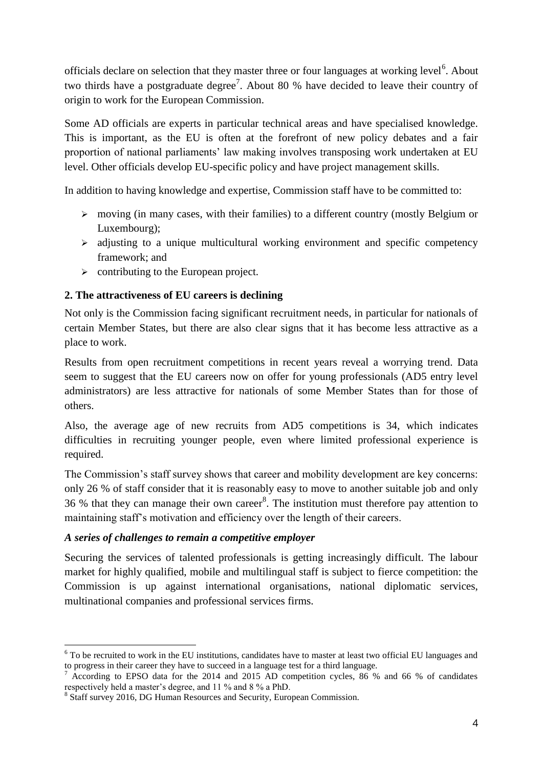officials declare on selection that they master three or four languages at working level<sup>6</sup>. About two thirds have a postgraduate degree<sup>7</sup>. About 80 % have decided to leave their country of origin to work for the European Commission.

Some AD officials are experts in particular technical areas and have specialised knowledge. This is important, as the EU is often at the forefront of new policy debates and a fair proportion of national parliaments' law making involves transposing work undertaken at EU level. Other officials develop EU-specific policy and have project management skills.

In addition to having knowledge and expertise, Commission staff have to be committed to:

- $\triangleright$  moving (in many cases, with their families) to a different country (mostly Belgium or Luxembourg);
- $\triangleright$  adjusting to a unique multicultural working environment and specific competency framework; and
- $\triangleright$  contributing to the European project.

### **2. The attractiveness of EU careers is declining**

Not only is the Commission facing significant recruitment needs, in particular for nationals of certain Member States, but there are also clear signs that it has become less attractive as a place to work.

Results from open recruitment competitions in recent years reveal a worrying trend. Data seem to suggest that the EU careers now on offer for young professionals (AD5 entry level administrators) are less attractive for nationals of some Member States than for those of others.

Also, the average age of new recruits from AD5 competitions is 34, which indicates difficulties in recruiting younger people, even where limited professional experience is required.

The Commission's staff survey shows that career and mobility development are key concerns: only 26 % of staff consider that it is reasonably easy to move to another suitable job and only 36 % that they can manage their own career<sup>8</sup>. The institution must therefore pay attention to maintaining staff's motivation and efficiency over the length of their careers.

### *A series of challenges to remain a competitive employer*

Securing the services of talented professionals is getting increasingly difficult. The labour market for highly qualified, mobile and multilingual staff is subject to fierce competition: the Commission is up against international organisations, national diplomatic services, multinational companies and professional services firms.

**<sup>.</sup>** <sup>6</sup> To be recruited to work in the EU institutions, candidates have to master at least two official EU languages and to progress in their career they have to succeed in a language test for a third language.

<sup>&</sup>lt;sup>7</sup> According to EPSO data for the 2014 and 2015 AD competition cycles, 86 % and 66 % of candidates respectively held a master's degree, and 11 % and 8 % a PhD.

<sup>&</sup>lt;sup>8</sup> Staff survey 2016, DG Human Resources and Security, European Commission.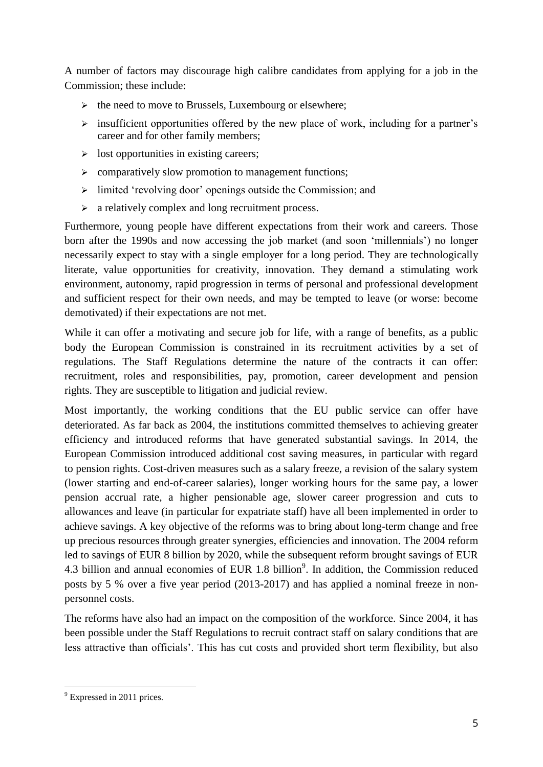A number of factors may discourage high calibre candidates from applying for a job in the Commission; these include:

- $\triangleright$  the need to move to Brussels, Luxembourg or elsewhere;
- $\triangleright$  insufficient opportunities offered by the new place of work, including for a partner's career and for other family members;
- $\triangleright$  lost opportunities in existing careers;
- $\triangleright$  comparatively slow promotion to management functions;
- $\geq$  limited 'revolving door' openings outside the Commission; and
- $\triangleright$  a relatively complex and long recruitment process.

Furthermore, young people have different expectations from their work and careers. Those born after the 1990s and now accessing the job market (and soon 'millennials') no longer necessarily expect to stay with a single employer for a long period. They are technologically literate, value opportunities for creativity, innovation. They demand a stimulating work environment, autonomy, rapid progression in terms of personal and professional development and sufficient respect for their own needs, and may be tempted to leave (or worse: become demotivated) if their expectations are not met.

While it can offer a motivating and secure job for life, with a range of benefits, as a public body the European Commission is constrained in its recruitment activities by a set of regulations. The Staff Regulations determine the nature of the contracts it can offer: recruitment, roles and responsibilities, pay, promotion, career development and pension rights. They are susceptible to litigation and judicial review.

Most importantly, the working conditions that the EU public service can offer have deteriorated. As far back as 2004, the institutions committed themselves to achieving greater efficiency and introduced reforms that have generated substantial savings. In 2014, the European Commission introduced additional cost saving measures, in particular with regard to pension rights. Cost-driven measures such as a salary freeze, a revision of the salary system (lower starting and end-of-career salaries), longer working hours for the same pay, a lower pension accrual rate, a higher pensionable age, slower career progression and cuts to allowances and leave (in particular for expatriate staff) have all been implemented in order to achieve savings. A key objective of the reforms was to bring about long-term change and free up precious resources through greater synergies, efficiencies and innovation. The 2004 reform led to savings of EUR 8 billion by 2020, while the subsequent reform brought savings of EUR 4.3 billion and annual economies of EUR  $1.8$  billion<sup>9</sup>. In addition, the Commission reduced posts by 5 % over a five year period (2013-2017) and has applied a nominal freeze in nonpersonnel costs.

The reforms have also had an impact on the composition of the workforce. Since 2004, it has been possible under the Staff Regulations to recruit contract staff on salary conditions that are less attractive than officials'. This has cut costs and provided short term flexibility, but also

**<sup>.</sup>**  $9^9$  Expressed in 2011 prices.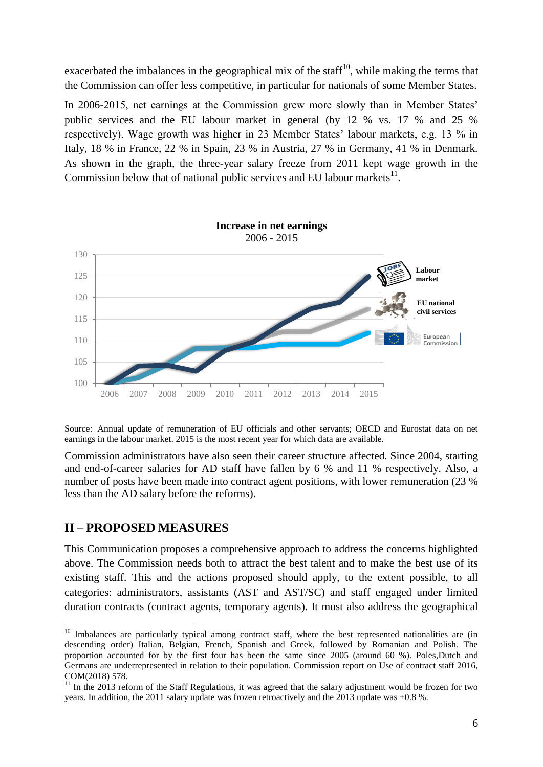exacerbated the imbalances in the geographical mix of the staff<sup>10</sup>, while making the terms that the Commission can offer less competitive, in particular for nationals of some Member States.

In 2006-2015, net earnings at the Commission grew more slowly than in Member States' public services and the EU labour market in general (by 12 % vs. 17 % and 25 % respectively). Wage growth was higher in 23 Member States' labour markets, e.g. 13 % in Italy, 18 % in France, 22 % in Spain, 23 % in Austria, 27 % in Germany, 41 % in Denmark. As shown in the graph, the three-year salary freeze from 2011 kept wage growth in the Commission below that of national public services and EU labour markets $^{11}$ .



Source: Annual update of remuneration of EU officials and other servants; OECD and Eurostat data on net earnings in the labour market. 2015 is the most recent year for which data are available.

Commission administrators have also seen their career structure affected. Since 2004, starting and end-of-career salaries for AD staff have fallen by 6 % and 11 % respectively. Also, a number of posts have been made into contract agent positions, with lower remuneration (23 % less than the AD salary before the reforms).

### **II – PROPOSED MEASURES**

**.** 

This Communication proposes a comprehensive approach to address the concerns highlighted above. The Commission needs both to attract the best talent and to make the best use of its existing staff. This and the actions proposed should apply, to the extent possible, to all categories: administrators, assistants (AST and AST/SC) and staff engaged under limited duration contracts (contract agents, temporary agents). It must also address the geographical

 $10$  Imbalances are particularly typical among contract staff, where the best represented nationalities are (in descending order) Italian, Belgian, French, Spanish and Greek, followed by Romanian and Polish. The proportion accounted for by the first four has been the same since 2005 (around 60 %). Poles,Dutch and Germans are underrepresented in relation to their population. Commission report on Use of contract staff 2016, COM(2018) 578.

 $11$  In the 2013 reform of the Staff Regulations, it was agreed that the salary adjustment would be frozen for two years. In addition, the 2011 salary update was frozen retroactively and the 2013 update was +0.8 %.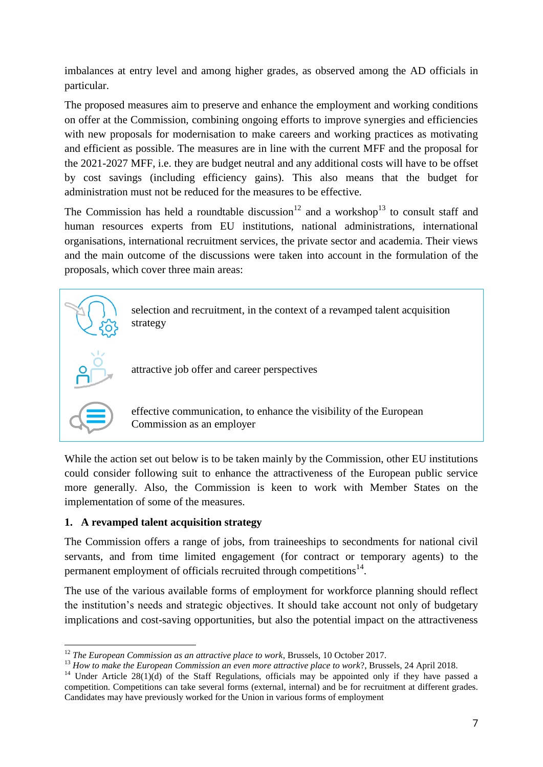imbalances at entry level and among higher grades, as observed among the AD officials in particular.

The proposed measures aim to preserve and enhance the employment and working conditions on offer at the Commission, combining ongoing efforts to improve synergies and efficiencies with new proposals for modernisation to make careers and working practices as motivating and efficient as possible. The measures are in line with the current MFF and the proposal for the 2021-2027 MFF, i.e. they are budget neutral and any additional costs will have to be offset by cost savings (including efficiency gains). This also means that the budget for administration must not be reduced for the measures to be effective.

The Commission has held a roundtable discussion<sup>12</sup> and a workshop<sup>13</sup> to consult staff and human resources experts from EU institutions, national administrations, international organisations, international recruitment services, the private sector and academia. Their views and the main outcome of the discussions were taken into account in the formulation of the proposals, which cover three main areas:



While the action set out below is to be taken mainly by the Commission, other EU institutions could consider following suit to enhance the attractiveness of the European public service more generally. Also, the Commission is keen to work with Member States on the implementation of some of the measures.

### **1. A revamped talent acquisition strategy**

The Commission offers a range of jobs, from traineeships to secondments for national civil servants, and from time limited engagement (for contract or temporary agents) to the permanent employment of officials recruited through competitions $14$ .

The use of the various available forms of employment for workforce planning should reflect the institution's needs and strategic objectives. It should take account not only of budgetary implications and cost-saving opportunities, but also the potential impact on the attractiveness

**<sup>.</sup>** <sup>12</sup> *The European Commission as an attractive place to work*, Brussels, 10 October 2017.

<sup>&</sup>lt;sup>13</sup> How to make the European Commission an even more attractive place to work?, Brussels, 24 April 2018.

<sup>&</sup>lt;sup>14</sup> Under Article 28(1)(d) of the Staff Regulations, officials may be appointed only if they have passed a competition. Competitions can take several forms (external, internal) and be for recruitment at different grades. Candidates may have previously worked for the Union in various forms of employment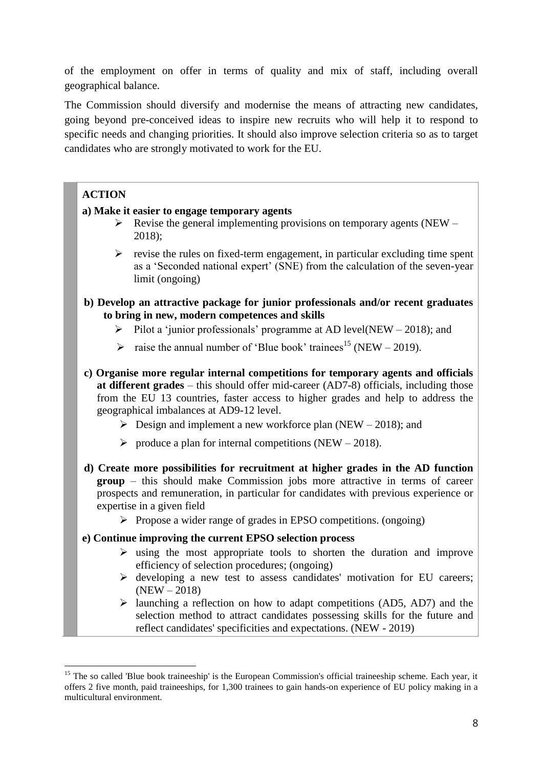of the employment on offer in terms of quality and mix of staff, including overall geographical balance.

The Commission should diversify and modernise the means of attracting new candidates, going beyond pre-conceived ideas to inspire new recruits who will help it to respond to specific needs and changing priorities. It should also improve selection criteria so as to target candidates who are strongly motivated to work for the EU.

## **ACTION**

1

### **a) Make it easier to engage temporary agents**

- $\triangleright$  Revise the general implementing provisions on temporary agents (NEW 2018);
- $\triangleright$  revise the rules on fixed-term engagement, in particular excluding time spent as a 'Seconded national expert' (SNE) from the calculation of the seven-year limit (ongoing)
- **b) Develop an attractive package for junior professionals and/or recent graduates to bring in new, modern competences and skills** 
	- $\triangleright$  Pilot a 'junior professionals' programme at AD level(NEW 2018); and
	- ightharpoonup is raise the annual number of 'Blue book' trainees<sup>15</sup> (NEW 2019).
- **c) Organise more regular internal competitions for temporary agents and officials at different grades** – this should offer mid-career (AD7-8) officials, including those from the EU 13 countries, faster access to higher grades and help to address the geographical imbalances at AD9-12 level.
	- $\triangleright$  Design and implement a new workforce plan (NEW 2018); and
	- $\triangleright$  produce a plan for internal competitions (NEW 2018).
- **d) Create more possibilities for recruitment at higher grades in the AD function group** – this should make Commission jobs more attractive in terms of career prospects and remuneration, in particular for candidates with previous experience or expertise in a given field
	- $\triangleright$  Propose a wider range of grades in EPSO competitions. (ongoing)

### **e) Continue improving the current EPSO selection process**

- $\triangleright$  using the most appropriate tools to shorten the duration and improve efficiency of selection procedures; (ongoing)
- $\triangleright$  developing a new test to assess candidates' motivation for EU careers;  $(NEW - 2018)$
- $\triangleright$  launching a reflection on how to adapt competitions (AD5, AD7) and the selection method to attract candidates possessing skills for the future and reflect candidates' specificities and expectations. (NEW - 2019)

<sup>&</sup>lt;sup>15</sup> The so called 'Blue book traineeship' is the European Commission's official traineeship scheme. Each year, it offers 2 five month, paid traineeships, for 1,300 trainees to gain hands-on experience of EU policy making in a multicultural environment.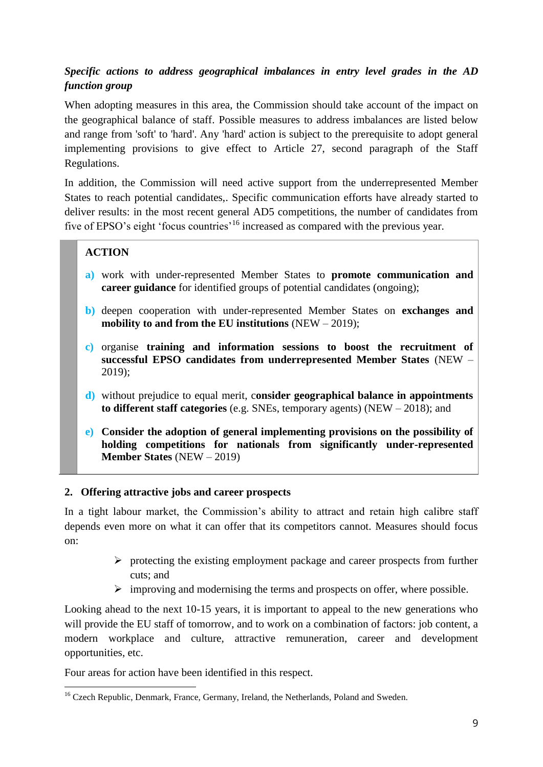## *Specific actions to address geographical imbalances in entry level grades in the AD function group*

When adopting measures in this area, the Commission should take account of the impact on the geographical balance of staff. Possible measures to address imbalances are listed below and range from 'soft' to 'hard'. Any 'hard' action is subject to the prerequisite to adopt general implementing provisions to give effect to Article 27, second paragraph of the Staff Regulations.

In addition, the Commission will need active support from the underrepresented Member States to reach potential candidates,. Specific communication efforts have already started to deliver results: in the most recent general AD5 competitions, the number of candidates from five of EPSO's eight 'focus countries'<sup>16</sup> increased as compared with the previous year.

### **ACTION**

- **a)** work with under-represented Member States to **promote communication and career guidance** for identified groups of potential candidates (ongoing);
- **b)** deepen cooperation with under-represented Member States on **exchanges and mobility to and from the EU institutions** (NEW – 2019);
- **c)** organise **training and information sessions to boost the recruitment of successful EPSO candidates from underrepresented Member States** (NEW – 2019);
- **d)** without prejudice to equal merit, c**onsider geographical balance in appointments to different staff categories** (e.g. SNEs, temporary agents) (NEW – 2018); and
- **e) Consider the adoption of general implementing provisions on the possibility of holding competitions for nationals from significantly under-represented Member States** (NEW – 2019)

### **2. Offering attractive jobs and career prospects**

In a tight labour market, the Commission's ability to attract and retain high calibre staff depends even more on what it can offer that its competitors cannot. Measures should focus on:

- $\triangleright$  protecting the existing employment package and career prospects from further cuts; and
- $\triangleright$  improving and modernising the terms and prospects on offer, where possible.

Looking ahead to the next 10-15 years, it is important to appeal to the new generations who will provide the EU staff of tomorrow, and to work on a combination of factors: job content, a modern workplace and culture, attractive remuneration, career and development opportunities, etc.

Four areas for action have been identified in this respect.

**<sup>.</sup>** <sup>16</sup> Czech Republic, Denmark, France, Germany, Ireland, the Netherlands, Poland and Sweden.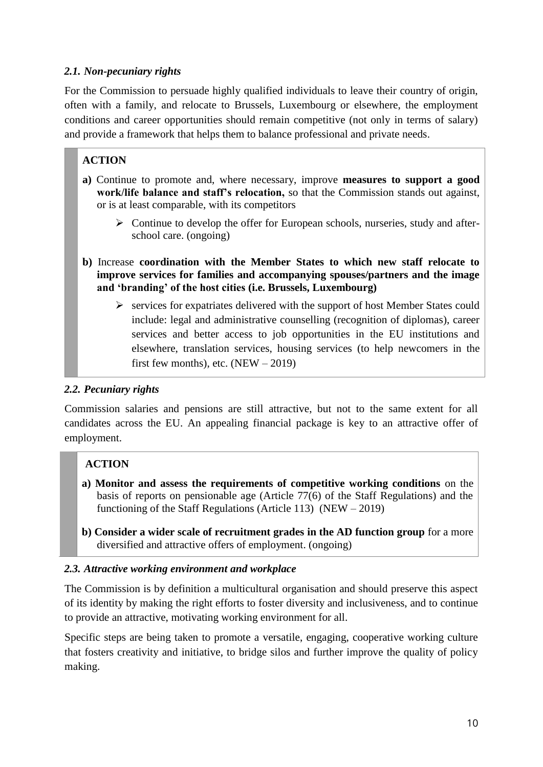### *2.1. Non-pecuniary rights*

For the Commission to persuade highly qualified individuals to leave their country of origin, often with a family, and relocate to Brussels, Luxembourg or elsewhere, the employment conditions and career opportunities should remain competitive (not only in terms of salary) and provide a framework that helps them to balance professional and private needs.

# **ACTION**

- **a)** Continue to promote and, where necessary, improve **measures to support a good work/life balance and staff's relocation,** so that the Commission stands out against, or is at least comparable, with its competitors
	- $\triangleright$  Continue to develop the offer for European schools, nurseries, study and afterschool care. (ongoing)
- **b)** Increase **coordination with the Member States to which new staff relocate to improve services for families and accompanying spouses/partners and the image and 'branding' of the host cities (i.e. Brussels, Luxembourg)** 
	- $\triangleright$  services for expatriates delivered with the support of host Member States could include: legal and administrative counselling (recognition of diplomas), career services and better access to job opportunities in the EU institutions and elsewhere, translation services, housing services (to help newcomers in the first few months), etc.  $(NEW - 2019)$

### *2.2. Pecuniary rights*

Commission salaries and pensions are still attractive, but not to the same extent for all candidates across the EU. An appealing financial package is key to an attractive offer of employment.

### **ACTION**

- **a) Monitor and assess the requirements of competitive working conditions** on the basis of reports on pensionable age (Article 77(6) of the Staff Regulations) and the functioning of the Staff Regulations (Article 113) (NEW – 2019)
- **b) Consider a wider scale of recruitment grades in the AD function group** for a more diversified and attractive offers of employment. (ongoing)

### *2.3. Attractive working environment and workplace*

The Commission is by definition a multicultural organisation and should preserve this aspect of its identity by making the right efforts to foster diversity and inclusiveness, and to continue to provide an attractive, motivating working environment for all.

Specific steps are being taken to promote a versatile, engaging, cooperative working culture that fosters creativity and initiative, to bridge silos and further improve the quality of policy making.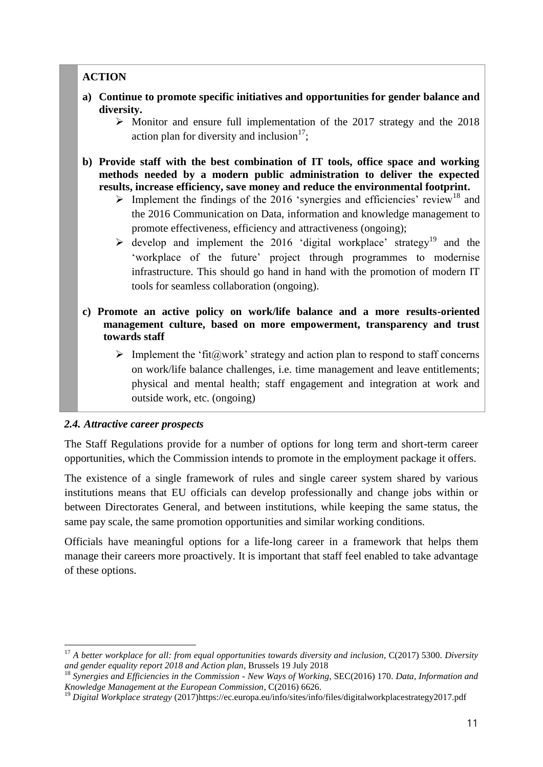## **ACTION**

- **a) Continue to promote specific initiatives and opportunities for gender balance and diversity.**
	- $\triangleright$  Monitor and ensure full implementation of the 2017 strategy and the 2018 action plan for diversity and inclusion $17$ ;
- **b) Provide staff with the best combination of IT tools, office space and working methods needed by a modern public administration to deliver the expected results, increase efficiency, save money and reduce the environmental footprint.** 
	- $\triangleright$  Implement the findings of the 2016 'synergies and efficiencies' review<sup>18</sup> and the 2016 Communication on Data, information and knowledge management to promote effectiveness, efficiency and attractiveness (ongoing);
	- $\triangleright$  develop and implement the 2016 'digital workplace' strategy<sup>19</sup> and the 'workplace of the future' project through programmes to modernise infrastructure. This should go hand in hand with the promotion of modern IT tools for seamless collaboration (ongoing).
- **c) Promote an active policy on work/life balance and a more results-oriented management culture, based on more empowerment, transparency and trust towards staff**
	- $\triangleright$  Implement the 'fit( $\partial x$  work' strategy and action plan to respond to staff concerns on work/life balance challenges, i.e. time management and leave entitlements; physical and mental health; staff engagement and integration at work and outside work, etc. (ongoing)

### *2.4. Attractive career prospects*

**.** 

The Staff Regulations provide for a number of options for long term and short-term career opportunities, which the Commission intends to promote in the employment package it offers.

The existence of a single framework of rules and single career system shared by various institutions means that EU officials can develop professionally and change jobs within or between Directorates General, and between institutions, while keeping the same status, the same pay scale, the same promotion opportunities and similar working conditions.

Officials have meaningful options for a life-long career in a framework that helps them manage their careers more proactively. It is important that staff feel enabled to take advantage of these options.

<sup>17</sup> *A better workplace for all: from equal opportunities towards diversity and inclusion,* C(2017) 5300. *Diversity and gender equality report 2018 and Action plan*, Brussels 19 July 2018

<sup>18</sup> *Synergies and Efficiencies in the Commission - New Ways of Working*, SEC(2016) 170. *Data, Information and Knowledge Management at the European Commission*, C(2016) 6626.

<sup>&</sup>lt;sup>19</sup> *Digital Workplace strategy* (2017)https://ec.europa.eu/info/sites/info/files/digitalworkplacestrategy2017.pdf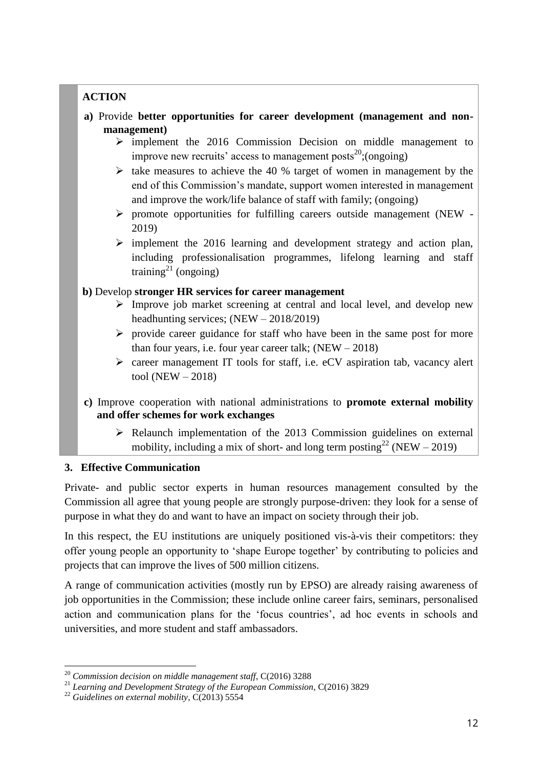## **ACTION**

- **a)** Provide **better opportunities for career development (management and nonmanagement)**
	- $\triangleright$  implement the 2016 Commission Decision on middle management to improve new recruits' access to management posts<sup>20</sup>; (ongoing)
	- $\triangleright$  take measures to achieve the 40 % target of women in management by the end of this Commission's mandate, support women interested in management and improve the work/life balance of staff with family; (ongoing)
	- $\triangleright$  promote opportunities for fulfilling careers outside management (NEW -2019)
	- $\triangleright$  implement the 2016 learning and development strategy and action plan, including professionalisation programmes, lifelong learning and staff training<sup>21</sup> (ongoing)

### **b)** Develop **stronger HR services for career management**

- $\triangleright$  Improve job market screening at central and local level, and develop new headhunting services; (NEW – 2018/2019)
- $\triangleright$  provide career guidance for staff who have been in the same post for more than four years, i.e. four year career talk; (NEW – 2018)
- career management IT tools for staff, i.e. eCV aspiration tab, vacancy alert tool (NEW – 2018)
- **c)** Improve cooperation with national administrations to **promote external mobility and offer schemes for work exchanges**
	- $\triangleright$  Relaunch implementation of the 2013 Commission guidelines on external mobility, including a mix of short- and long term posting<sup>22</sup> (NEW – 2019)

### **3. Effective Communication**

Private- and public sector experts in human resources management consulted by the Commission all agree that young people are strongly purpose-driven: they look for a sense of purpose in what they do and want to have an impact on society through their job.

In this respect, the EU institutions are uniquely positioned vis-à-vis their competitors: they offer young people an opportunity to 'shape Europe together' by contributing to policies and projects that can improve the lives of 500 million citizens.

A range of communication activities (mostly run by EPSO) are already raising awareness of job opportunities in the Commission; these include online career fairs, seminars, personalised action and communication plans for the 'focus countries', ad hoc events in schools and universities, and more student and staff ambassadors.

<sup>1</sup> <sup>20</sup> *Commission decision on middle management staff*, C(2016) 3288

<sup>21</sup> *Learning and Development Strategy of the European Commission*, C(2016) 3829

<sup>22</sup> *Guidelines on external mobility*, C(2013) 5554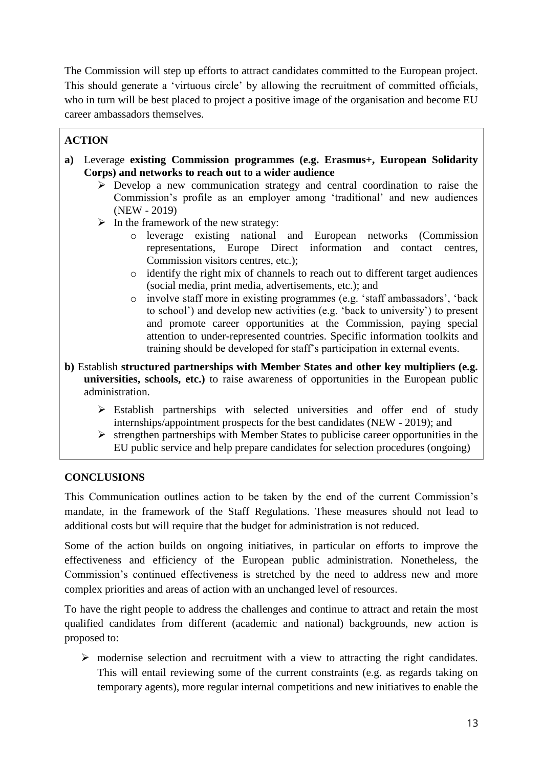The Commission will step up efforts to attract candidates committed to the European project. This should generate a 'virtuous circle' by allowing the recruitment of committed officials, who in turn will be best placed to project a positive image of the organisation and become EU career ambassadors themselves.

## **ACTION**

- **a)** Leverage **existing Commission programmes (e.g. Erasmus+, European Solidarity Corps) and networks to reach out to a wider audience**
	- $\triangleright$  Develop a new communication strategy and central coordination to raise the Commission's profile as an employer among 'traditional' and new audiences (NEW - 2019)
	- $\triangleright$  In the framework of the new strategy:
		- o leverage existing national and European networks (Commission representations, Europe Direct information and contact centres, Commission visitors centres, etc.);
		- o identify the right mix of channels to reach out to different target audiences (social media, print media, advertisements, etc.); and
		- o involve staff more in existing programmes (e.g. 'staff ambassadors', 'back to school') and develop new activities (e.g. 'back to university') to present and promote career opportunities at the Commission, paying special attention to under-represented countries. Specific information toolkits and training should be developed for staff's participation in external events.
- **b)** Establish **structured partnerships with Member States and other key multipliers (e.g. universities, schools, etc.)** to raise awareness of opportunities in the European public administration.
	- $\triangleright$  Establish partnerships with selected universities and offer end of study internships/appointment prospects for the best candidates (NEW - 2019); and
	- $\triangleright$  strengthen partnerships with Member States to publicise career opportunities in the EU public service and help prepare candidates for selection procedures (ongoing)

### **CONCLUSIONS**

This Communication outlines action to be taken by the end of the current Commission's mandate, in the framework of the Staff Regulations. These measures should not lead to additional costs but will require that the budget for administration is not reduced.

Some of the action builds on ongoing initiatives, in particular on efforts to improve the effectiveness and efficiency of the European public administration. Nonetheless, the Commission's continued effectiveness is stretched by the need to address new and more complex priorities and areas of action with an unchanged level of resources.

To have the right people to address the challenges and continue to attract and retain the most qualified candidates from different (academic and national) backgrounds, new action is proposed to:

 $\triangleright$  modernise selection and recruitment with a view to attracting the right candidates. This will entail reviewing some of the current constraints (e.g. as regards taking on temporary agents), more regular internal competitions and new initiatives to enable the